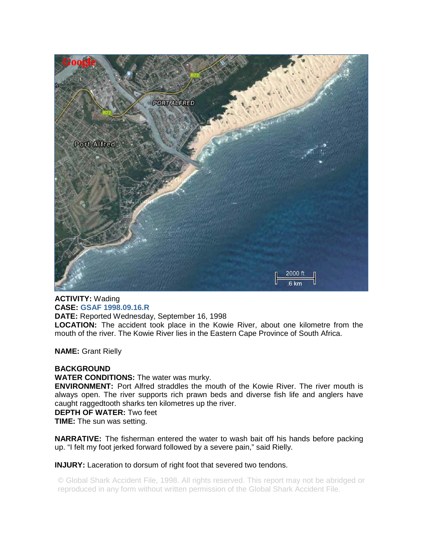

**ACTIVITY:** Wading **CASE: GSAF 1998.09.16.R DATE:** Reported Wednesday, September 16, 1998 **LOCATION:** The accident took place in the Kowie River, about one kilometre from the mouth of the river. The Kowie River lies in the Eastern Cape Province of South Africa.

**NAME:** Grant Rielly

## **BACKGROUND**

**WATER CONDITIONS:** The water was murky.

**ENVIRONMENT:** Port Alfred straddles the mouth of the Kowie River. The river mouth is always open. The river supports rich prawn beds and diverse fish life and anglers have caught raggedtooth sharks ten kilometres up the river.

## **DEPTH OF WATER:** Two feet

**TIME:** The sun was setting.

**NARRATIVE:** The fisherman entered the water to wash bait off his hands before packing up. "I felt my foot jerked forward followed by a severe pain," said Rielly.

**INJURY:** Laceration to dorsum of right foot that severed two tendons.

© Global Shark Accident File, 1998. All rights reserved. This report may not be abridged or reproduced in any form without written permission of the Global Shark Accident File.